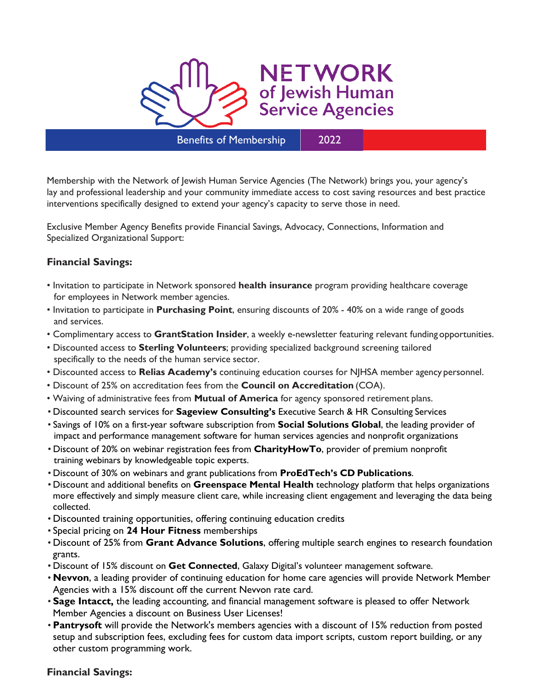

Membership with the Network of Jewish Human Service Agencies (The Network) brings you, your agency's lay and professional leadership and your community immediate access to cost saving resources and best practice interventions specifically designed to extend your agency's capacity to serve those in need.

Exclusive Member Agency Benefits provide Financial Savings, Advocacy, Connections, Information and Specialized Organizational Support:

### **Financial Savings:**

- Invitation to participate in Network sponsored **health insurance** program providing healthcare coverage for employees in Network member agencies.
- Invitation to participate in **Purchasing Point**, ensuring discounts of 20% 40% on a wide range of goods and services.
- Complimentary access to **GrantStation Insider**, a weekly e-newsletter featuring relevant fundingopportunities.
- Discounted access to **Sterling Volunteers**; providing specialized background screening tailored specifically to the needs of the human service sector.
- Discounted access to **Relias Academy's** continuing education courses for NJHSA member agency personnel.
- Discount of 25% on accreditation fees from the **Council on Accreditation** (COA).
- Waiving of administrative fees from **Mutual of America** for agency sponsored retirement plans.
- Discounted search services for **Sageview Consulting's** Executive Search & HR Consulting Services
- Savings of 10% on a first-year software subscription from **Social Solutions Global**, the leading provider of impact and performance management software for human services agencies and nonprofit organizations
- Discount of 20% on webinar registration fees from **CharityHowTo**, provider of premium nonprofit training webinars by knowledgeable topic experts.
- Discount of 30% on webinars and grant publications from **ProEdTech's CD Publications**.
- Discount and additional benefits on **Greenspace Mental Health** technology platform that helps organizations more effectively and simply measure client care, while increasing client engagement and leveraging the data being collected.
- Discounted training opportunities, offering continuing education credits
- Special pricing on **24 Hour Fitness** memberships
- Discount of 25% from **Grant Advance Solutions**, offering multiple search engines to research foundation grants.
- Discount of 15% discount on **Get Connected**, Galaxy Digital's volunteer management software.
- **Nevvon**, a leading provider of continuing education for home care agencies will provide Network Member Agencies with a 15% discount off the current Nevvon rate card.
- **Sage Intacct,** the leading accounting, and financial management software is pleased to offer Network Member Agencies a discount on Business User Licenses!
- **Pantrysoft** will provide the Network's members agencies with a discount of 15% reduction from posted setup and subscription fees, excluding fees for custom data import scripts, custom report building, or any other custom programming work.

### **Financial Savings:**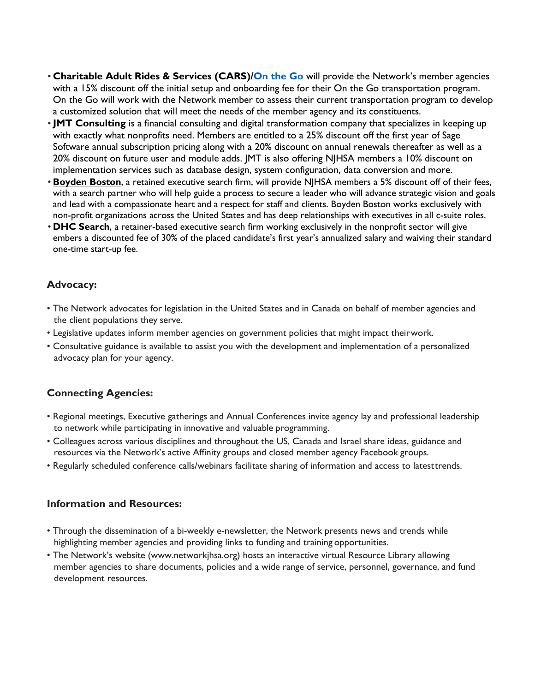- **Charitable Adult Rides & Services (CARS)[/On the Go](https://otgrides.org/home)** will provide the Network's member agencies with a 15% discount off the initial setup and onboarding fee for their On the Go transportation program. On the Go will work with the Network member to assess their current transportation program to develop a customized solution that will meet the needs of the member agency and its constituents.
- **JMT Consulting** is a financial consulting and digital transformation company that specializes in keeping up with exactly what nonprofits need. Members are entitled to a 25% discount off the first year of Sage Software annual subscription pricing along with a 20% discount on annual renewals thereafter as well as a 20% discount on future user and module adds. JMT is also offering NJHSA members a 10% discount on implementation services such as database design, system configuration, data conversion and more.
- **[Boyden Boston](https://www.boyden.com/boston/index.html)**, a retained executive search firm, will provide NJHSA members a 5% discount off of their fees, with a search partner who will help guide a process to secure a leader who will advance strategic vision and goals and lead with a compassionate heart and a respect for staff and clients. Boyden Boston works exclusively with non-profit organizations across the United States and has deep relationships with executives in all c-suite roles.
- **DHC Search**, a retainer-based executive search firm working exclusively in the nonprofit sector will give embers a discounted fee of 30% of the placed candidate's first year's annualized salary and waiving their standard one-time start-up fee.

### **Advocacy:**

- The Network advocates for legislation in the United States and in Canada on behalf of member agencies and the client populations they serve.
- Legislative updates inform member agencies on government policies that might impact theirwork.
- Consultative guidance is available to assist you with the development and implementation of a personalized advocacy plan for your agency.

# **Connecting Agencies:**

- Regional meetings, Executive gatherings and Annual Conferences invite agency lay and professional leadership to network while participating in innovative and valuable programming.
- Colleagues across various disciplines and throughout the US, Canada and Israel share ideas, guidance and resources via the Network's active Affinity groups and closed member agency Facebook groups.
- Regularly scheduled conference calls/webinars facilitate sharing of information and access to latesttrends.

### **Information and Resources:**

- Through the dissemination of a bi-weekly e-newsletter, the Network presents news and trends while highlighting member agencies and providing links to funding and training opportunities.
- The Network's website (www.networkjhsa.org) hosts an interactive virtual Resource Library allowing member agencies to share documents, policies and a wide range of service, personnel, governance, and fund development resources.